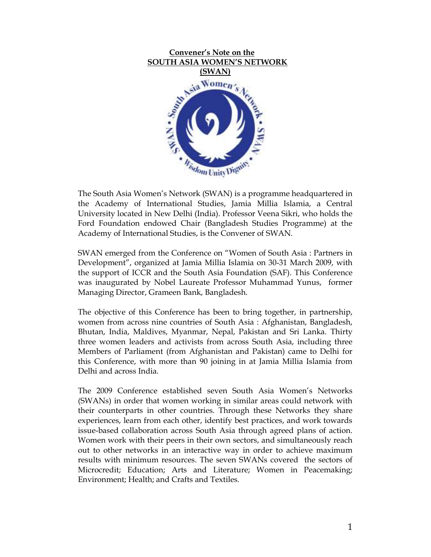

The South Asia Women's Network (SWAN) is a programme headquartered in the Academy of International Studies, Jamia Millia Islamia, a Central University located in New Delhi (India). Professor Veena Sikri, who holds the Ford Foundation endowed Chair (Bangladesh Studies Programme) at the Academy of International Studies, is the Convener of SWAN.

SWAN emerged from the Conference on "Women of South Asia : Partners in Development", organized at Jamia Millia Islamia on 30-31 March 2009, with the support of ICCR and the South Asia Foundation (SAF). This Conference was inaugurated by Nobel Laureate Professor Muhammad Yunus, former Managing Director, Grameen Bank, Bangladesh.

The objective of this Conference has been to bring together, in partnership, women from across nine countries of South Asia : Afghanistan, Bangladesh, Bhutan, India, Maldives, Myanmar, Nepal, Pakistan and Sri Lanka. Thirty three women leaders and activists from across South Asia, including three Members of Parliament (from Afghanistan and Pakistan) came to Delhi for this Conference, with more than 90 joining in at Jamia Millia Islamia from Delhi and across India.

The 2009 Conference established seven South Asia Women's Networks (SWANs) in order that women working in similar areas could network with their counterparts in other countries. Through these Networks they share experiences, learn from each other, identify best practices, and work towards issue-based collaboration across South Asia through agreed plans of action. Women work with their peers in their own sectors, and simultaneously reach out to other networks in an interactive way in order to achieve maximum results with minimum resources. The seven SWANs covered the sectors of Microcredit; Education; Arts and Literature; Women in Peacemaking; Environment; Health; and Crafts and Textiles.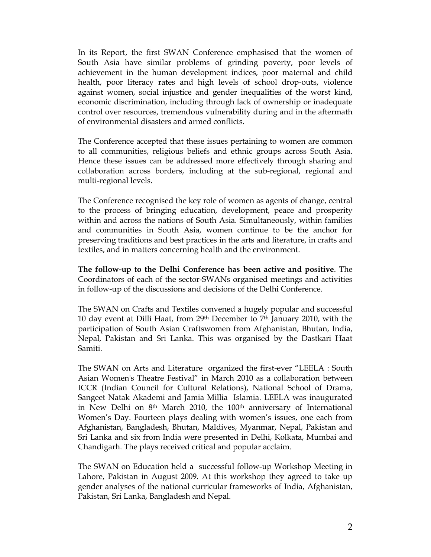In its Report, the first SWAN Conference emphasised that the women of South Asia have similar problems of grinding poverty, poor levels of achievement in the human development indices, poor maternal and child health, poor literacy rates and high levels of school drop-outs, violence against women, social injustice and gender inequalities of the worst kind, economic discrimination, including through lack of ownership or inadequate control over resources, tremendous vulnerability during and in the aftermath of environmental disasters and armed conflicts.

The Conference accepted that these issues pertaining to women are common to all communities, religious beliefs and ethnic groups across South Asia. Hence these issues can be addressed more effectively through sharing and collaboration across borders, including at the sub-regional, regional and multi-regional levels.

The Conference recognised the key role of women as agents of change, central to the process of bringing education, development, peace and prosperity within and across the nations of South Asia. Simultaneously, within families and communities in South Asia, women continue to be the anchor for preserving traditions and best practices in the arts and literature, in crafts and textiles, and in matters concerning health and the environment.

The follow-up to the Delhi Conference has been active and positive. The Coordinators of each of the sector-SWANs organised meetings and activities in follow-up of the discussions and decisions of the Delhi Conference.

The SWAN on Crafts and Textiles convened a hugely popular and successful 10 day event at Dilli Haat, from 29th December to 7th January 2010, with the participation of South Asian Craftswomen from Afghanistan, Bhutan, India, Nepal, Pakistan and Sri Lanka. This was organised by the Dastkari Haat Samiti.

The SWAN on Arts and Literature organized the first-ever "LEELA : South Asian Women's Theatre Festival" in March 2010 as a collaboration between ICCR (Indian Council for Cultural Relations), National School of Drama, Sangeet Natak Akademi and Jamia Millia Islamia. LEELA was inaugurated in New Delhi on 8<sup>th</sup> March 2010, the 100<sup>th</sup> anniversary of International Women's Day. Fourteen plays dealing with women's issues, one each from Afghanistan, Bangladesh, Bhutan, Maldives, Myanmar, Nepal, Pakistan and Sri Lanka and six from India were presented in Delhi, Kolkata, Mumbai and Chandigarh. The plays received critical and popular acclaim.

The SWAN on Education held a successful follow-up Workshop Meeting in Lahore, Pakistan in August 2009. At this workshop they agreed to take up gender analyses of the national curricular frameworks of India, Afghanistan, Pakistan, Sri Lanka, Bangladesh and Nepal.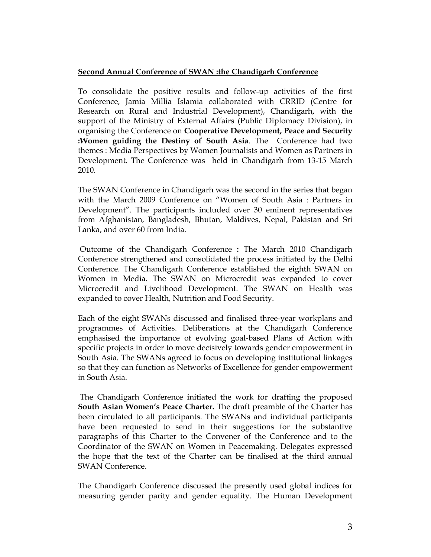## Second Annual Conference of SWAN :the Chandigarh Conference

To consolidate the positive results and follow-up activities of the first Conference, Jamia Millia Islamia collaborated with CRRID (Centre for Research on Rural and Industrial Development), Chandigarh, with the support of the Ministry of External Affairs (Public Diplomacy Division), in organising the Conference on Cooperative Development, Peace and Security :Women guiding the Destiny of South Asia. The Conference had two themes : Media Perspectives by Women Journalists and Women as Partners in Development. The Conference was held in Chandigarh from 13-15 March 2010.

The SWAN Conference in Chandigarh was the second in the series that began with the March 2009 Conference on "Women of South Asia : Partners in Development". The participants included over 30 eminent representatives from Afghanistan, Bangladesh, Bhutan, Maldives, Nepal, Pakistan and Sri Lanka, and over 60 from India.

 Outcome of the Chandigarh Conference : The March 2010 Chandigarh Conference strengthened and consolidated the process initiated by the Delhi Conference. The Chandigarh Conference established the eighth SWAN on Women in Media. The SWAN on Microcredit was expanded to cover Microcredit and Livelihood Development. The SWAN on Health was expanded to cover Health, Nutrition and Food Security.

Each of the eight SWANs discussed and finalised three-year workplans and programmes of Activities. Deliberations at the Chandigarh Conference emphasised the importance of evolving goal-based Plans of Action with specific projects in order to move decisively towards gender empowerment in South Asia. The SWANs agreed to focus on developing institutional linkages so that they can function as Networks of Excellence for gender empowerment in South Asia.

 The Chandigarh Conference initiated the work for drafting the proposed South Asian Women's Peace Charter. The draft preamble of the Charter has been circulated to all participants. The SWANs and individual participants have been requested to send in their suggestions for the substantive paragraphs of this Charter to the Convener of the Conference and to the Coordinator of the SWAN on Women in Peacemaking. Delegates expressed the hope that the text of the Charter can be finalised at the third annual SWAN Conference.

The Chandigarh Conference discussed the presently used global indices for measuring gender parity and gender equality. The Human Development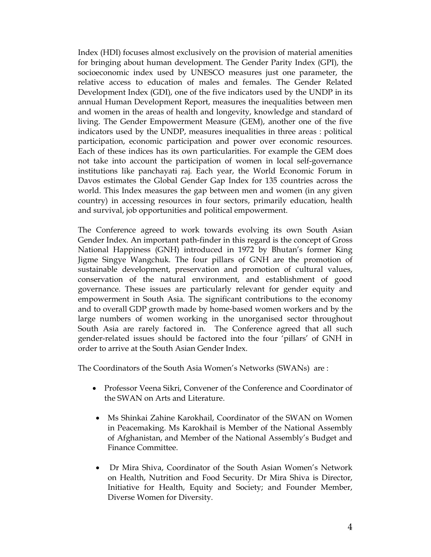Index (HDI) focuses almost exclusively on the provision of material amenities for bringing about human development. The Gender Parity Index (GPI), the socioeconomic index used by UNESCO measures just one parameter, the relative access to education of males and females. The Gender Related Development Index (GDI), one of the five indicators used by the UNDP in its annual Human Development Report, measures the inequalities between men and women in the areas of health and longevity, knowledge and standard of living. The Gender Empowerment Measure (GEM), another one of the five indicators used by the UNDP, measures inequalities in three areas : political participation, economic participation and power over economic resources. Each of these indices has its own particularities. For example the GEM does not take into account the participation of women in local self-governance institutions like panchayati raj. Each year, the World Economic Forum in Davos estimates the Global Gender Gap Index for 135 countries across the world. This Index measures the gap between men and women (in any given country) in accessing resources in four sectors, primarily education, health and survival, job opportunities and political empowerment.

The Conference agreed to work towards evolving its own South Asian Gender Index. An important path-finder in this regard is the concept of Gross National Happiness (GNH) introduced in 1972 by Bhutan's former King Jigme Singye Wangchuk. The four pillars of GNH are the promotion of sustainable development, preservation and promotion of cultural values, conservation of the natural environment, and establishment of good governance. These issues are particularly relevant for gender equity and empowerment in South Asia. The significant contributions to the economy and to overall GDP growth made by home-based women workers and by the large numbers of women working in the unorganised sector throughout South Asia are rarely factored in. The Conference agreed that all such gender-related issues should be factored into the four 'pillars' of GNH in order to arrive at the South Asian Gender Index.

The Coordinators of the South Asia Women's Networks (SWANs) are :

- Professor Veena Sikri, Convener of the Conference and Coordinator of the SWAN on Arts and Literature.
- Ms Shinkai Zahine Karokhail, Coordinator of the SWAN on Women in Peacemaking. Ms Karokhail is Member of the National Assembly of Afghanistan, and Member of the National Assembly's Budget and Finance Committee.
- Dr Mira Shiva, Coordinator of the South Asian Women's Network on Health, Nutrition and Food Security. Dr Mira Shiva is Director, Initiative for Health, Equity and Society; and Founder Member, Diverse Women for Diversity.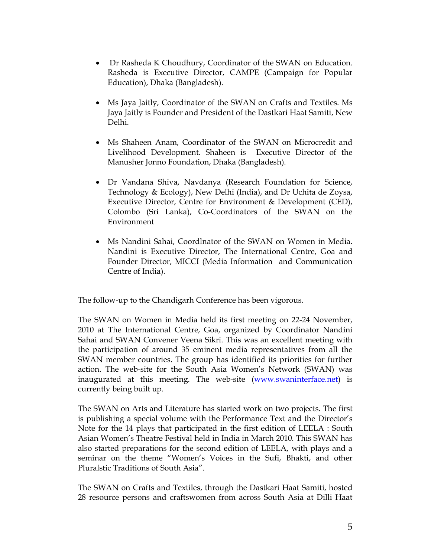- Dr Rasheda K Choudhury, Coordinator of the SWAN on Education. Rasheda is Executive Director, CAMPE (Campaign for Popular Education), Dhaka (Bangladesh).
- Ms Jaya Jaitly, Coordinator of the SWAN on Crafts and Textiles. Ms Jaya Jaitly is Founder and President of the Dastkari Haat Samiti, New Delhi.
- Ms Shaheen Anam, Coordinator of the SWAN on Microcredit and Livelihood Development. Shaheen is Executive Director of the Manusher Jonno Foundation, Dhaka (Bangladesh).
- Dr Vandana Shiva, Navdanya (Research Foundation for Science, Technology & Ecology), New Delhi (India), and Dr Uchita de Zoysa, Executive Director, Centre for Environment & Development (CED), Colombo (Sri Lanka), Co-Coordinators of the SWAN on the Environment
- Ms Nandini Sahai, Coordlnator of the SWAN on Women in Media. Nandini is Executive Director, The International Centre, Goa and Founder Director, MICCI (Media Information and Communication Centre of India).

The follow-up to the Chandigarh Conference has been vigorous.

The SWAN on Women in Media held its first meeting on 22-24 November, 2010 at The International Centre, Goa, organized by Coordinator Nandini Sahai and SWAN Convener Veena Sikri. This was an excellent meeting with the participation of around 35 eminent media representatives from all the SWAN member countries. The group has identified its priorities for further action. The web-site for the South Asia Women's Network (SWAN) was inaugurated at this meeting. The web-site (www.swaninterface.net) is currently being built up.

The SWAN on Arts and Literature has started work on two projects. The first is publishing a special volume with the Performance Text and the Director's Note for the 14 plays that participated in the first edition of LEELA : South Asian Women's Theatre Festival held in India in March 2010. This SWAN has also started preparations for the second edition of LEELA, with plays and a seminar on the theme "Women's Voices in the Sufi, Bhakti, and other Pluralstic Traditions of South Asia".

The SWAN on Crafts and Textiles, through the Dastkari Haat Samiti, hosted 28 resource persons and craftswomen from across South Asia at Dilli Haat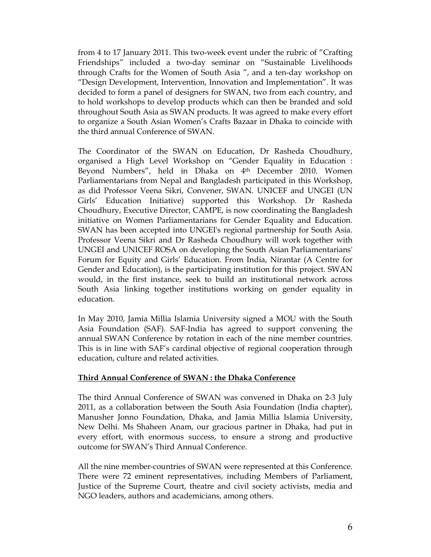from 4 to 17 January 2011. This two-week event under the rubric of "Crafting Friendships" included a two-day seminar on "Sustainable Livelihoods through Crafts for the Women of South Asia ", and a ten-day workshop on "Design Development, Intervention, Innovation and Implementation". It was decided to form a panel of designers for SWAN, two from each country, and to hold workshops to develop products which can then be branded and sold throughout South Asia as SWAN products. It was agreed to make every effort to organize a South Asian Women's Crafts Bazaar in Dhaka to coincide with the third annual Conference of SWAN.

The Coordinator of the SWAN on Education, Dr Rasheda Choudhury, organised a High Level Workshop on "Gender Equality in Education : Beyond Numbers", held in Dhaka on 4th December 2010. Women Parliamentarians from Nepal and Bangladesh participated in this Workshop, as did Professor Veena Sikri, Convener, SWAN. UNICEF and UNGEI (UN Girls' Education Initiative) supported this Workshop. Dr Rasheda Choudhury, Executive Director, CAMPE, is now coordinating the Bangladesh initiative on Women Parliamentarians for Gender Equality and Education. SWAN has been accepted into UNGEI's regional partnership for South Asia. Professor Veena Sikri and Dr Rasheda Choudhury will work together with UNGEI and UNICEF ROSA on developing the South Asian Parliamentarians' Forum for Equity and Girls' Education. From India, Nirantar (A Centre for Gender and Education), is the participating institution for this project. SWAN would, in the first instance, seek to build an institutional network across South Asia linking together institutions working on gender equality in education.

In May 2010, Jamia Millia Islamia University signed a MOU with the South Asia Foundation (SAF). SAF-India has agreed to support convening the annual SWAN Conference by rotation in each of the nine member countries. This is in line with SAF's cardinal objective of regional cooperation through education, culture and related activities.

## Third Annual Conference of SWAN : the Dhaka Conference

The third Annual Conference of SWAN was convened in Dhaka on 2-3 July 2011, as a collaboration between the South Asia Foundation (India chapter), Manusher Jonno Foundation, Dhaka, and Jamia Millia Islamia University, New Delhi. Ms Shaheen Anam, our gracious partner in Dhaka, had put in every effort, with enormous success, to ensure a strong and productive outcome for SWAN's Third Annual Conference.

All the nine member-countries of SWAN were represented at this Conference. There were 72 eminent representatives, including Members of Parliament, Justice of the Supreme Court, theatre and civil society activists, media and NGO leaders, authors and academicians, among others.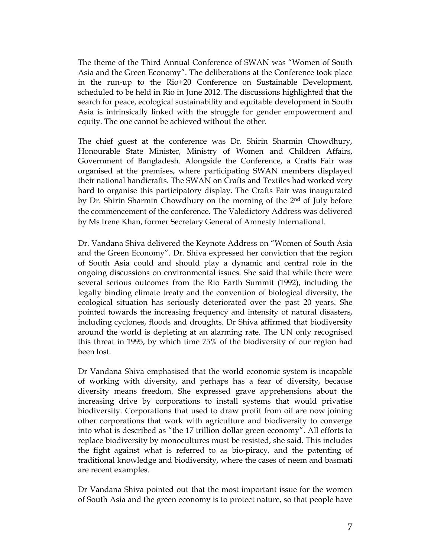The theme of the Third Annual Conference of SWAN was "Women of South Asia and the Green Economy". The deliberations at the Conference took place in the run-up to the Rio+20 Conference on Sustainable Development, scheduled to be held in Rio in June 2012. The discussions highlighted that the search for peace, ecological sustainability and equitable development in South Asia is intrinsically linked with the struggle for gender empowerment and equity. The one cannot be achieved without the other.

The chief guest at the conference was Dr. Shirin Sharmin Chowdhury, Honourable State Minister, Ministry of Women and Children Affairs, Government of Bangladesh. Alongside the Conference, a Crafts Fair was organised at the premises, where participating SWAN members displayed their national handicrafts. The SWAN on Crafts and Textiles had worked very hard to organise this participatory display. The Crafts Fair was inaugurated by Dr. Shirin Sharmin Chowdhury on the morning of the 2<sup>nd</sup> of July before the commencement of the conference. The Valedictory Address was delivered by Ms Irene Khan, former Secretary General of Amnesty International.

Dr. Vandana Shiva delivered the Keynote Address on "Women of South Asia and the Green Economy". Dr. Shiva expressed her conviction that the region of South Asia could and should play a dynamic and central role in the ongoing discussions on environmental issues. She said that while there were several serious outcomes from the Rio Earth Summit (1992), including the legally binding climate treaty and the convention of biological diversity, the ecological situation has seriously deteriorated over the past 20 years. She pointed towards the increasing frequency and intensity of natural disasters, including cyclones, floods and droughts. Dr Shiva affirmed that biodiversity around the world is depleting at an alarming rate. The UN only recognised this threat in 1995, by which time 75% of the biodiversity of our region had been lost.

Dr Vandana Shiva emphasised that the world economic system is incapable of working with diversity, and perhaps has a fear of diversity, because diversity means freedom. She expressed grave apprehensions about the increasing drive by corporations to install systems that would privatise biodiversity. Corporations that used to draw profit from oil are now joining other corporations that work with agriculture and biodiversity to converge into what is described as "the 17 trillion dollar green economy". All efforts to replace biodiversity by monocultures must be resisted, she said. This includes the fight against what is referred to as bio-piracy, and the patenting of traditional knowledge and biodiversity, where the cases of neem and basmati are recent examples.

Dr Vandana Shiva pointed out that the most important issue for the women of South Asia and the green economy is to protect nature, so that people have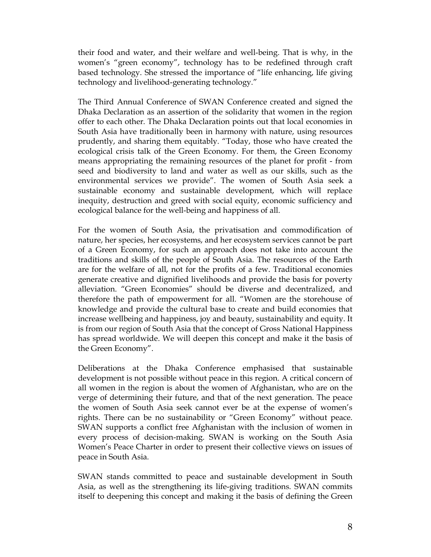their food and water, and their welfare and well-being. That is why, in the women's "green economy", technology has to be redefined through craft based technology. She stressed the importance of "life enhancing, life giving technology and livelihood-generating technology."

The Third Annual Conference of SWAN Conference created and signed the Dhaka Declaration as an assertion of the solidarity that women in the region offer to each other. The Dhaka Declaration points out that local economies in South Asia have traditionally been in harmony with nature, using resources prudently, and sharing them equitably. "Today, those who have created the ecological crisis talk of the Green Economy. For them, the Green Economy means appropriating the remaining resources of the planet for profit - from seed and biodiversity to land and water as well as our skills, such as the environmental services we provide". The women of South Asia seek a sustainable economy and sustainable development, which will replace inequity, destruction and greed with social equity, economic sufficiency and ecological balance for the well-being and happiness of all.

For the women of South Asia, the privatisation and commodification of nature, her species, her ecosystems, and her ecosystem services cannot be part of a Green Economy, for such an approach does not take into account the traditions and skills of the people of South Asia. The resources of the Earth are for the welfare of all, not for the profits of a few. Traditional economies generate creative and dignified livelihoods and provide the basis for poverty alleviation. "Green Economies" should be diverse and decentralized, and therefore the path of empowerment for all. "Women are the storehouse of knowledge and provide the cultural base to create and build economies that increase wellbeing and happiness, joy and beauty, sustainability and equity. It is from our region of South Asia that the concept of Gross National Happiness has spread worldwide. We will deepen this concept and make it the basis of the Green Economy".

Deliberations at the Dhaka Conference emphasised that sustainable development is not possible without peace in this region. A critical concern of all women in the region is about the women of Afghanistan, who are on the verge of determining their future, and that of the next generation. The peace the women of South Asia seek cannot ever be at the expense of women's rights. There can be no sustainability or "Green Economy" without peace. SWAN supports a conflict free Afghanistan with the inclusion of women in every process of decision-making. SWAN is working on the South Asia Women's Peace Charter in order to present their collective views on issues of peace in South Asia.

SWAN stands committed to peace and sustainable development in South Asia, as well as the strengthening its life-giving traditions. SWAN commits itself to deepening this concept and making it the basis of defining the Green